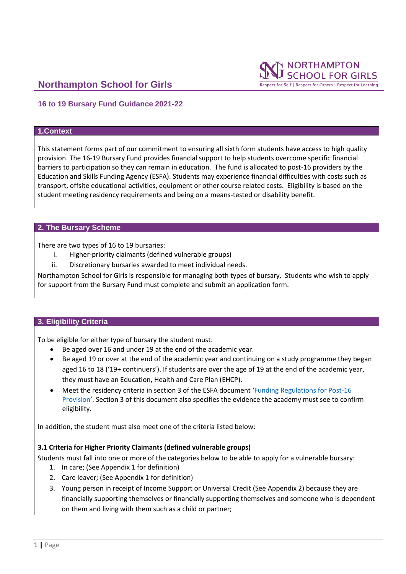



Respect for Self | Respect for Others | Respect for Learning

## **16 to 19 Bursary Fund Guidance 2021-22**

### **1.Context**

This statement forms part of our commitment to ensuring all sixth form students have access to high quality provision. The 16-19 Bursary Fund provides financial support to help students overcome specific financial barriers to participation so they can remain in education. The fund is allocated to post-16 providers by the Education and Skills Funding Agency (ESFA). Students may experience financial difficulties with costs such as transport, offsite educational activities, equipment or other course related costs. Eligibility is based on the student meeting residency requirements and being on a means-tested or disability benefit.

#### **2. The Bursary Scheme**

There are two types of 16 to 19 bursaries:

- i. Higher-priority claimants (defined vulnerable groups)
- ii. Discretionary bursaries awarded to meet individual needs.

Northampton School for Girls is responsible for managing both types of bursary. Students who wish to apply for support from the Bursary Fund must complete and submit an application form.

#### **3. Eligibility Criteria**

To be eligible for either type of bursary the student must:

- Be aged over 16 and under 19 at the end of the academic year.
- Be aged 19 or over at the end of the academic year and continuing on a study programme they began aged 16 to 18 ('19+ continuers'). If students are over the age of 19 at the end of the academic year, they must have an Education, Health and Care Plan (EHCP).
- Meet the residency criteria in section 3 of the ESFA document '[Funding Regulations for Post-16](https://www.gov.uk/government/publications/advice-funding-regulations-for-post-16-provision)  [Provision](https://www.gov.uk/government/publications/advice-funding-regulations-for-post-16-provision)'. Section 3 of this document also specifies the evidence the academy must see to confirm eligibility.

In addition, the student must also meet one of the criteria listed below:

#### **3.1 Criteria for Higher Priority Claimants (defined vulnerable groups)**

Students must fall into one or more of the categories below to be able to apply for a vulnerable bursary:

- 1. In care; (See Appendix 1 for definition)
- 2. Care leaver; (See Appendix 1 for definition)
- 3. Young person in receipt of Income Support or Universal Credit (See Appendix 2) because they are financially supporting themselves or financially supporting themselves and someone who is dependent on them and living with them such as a child or partner;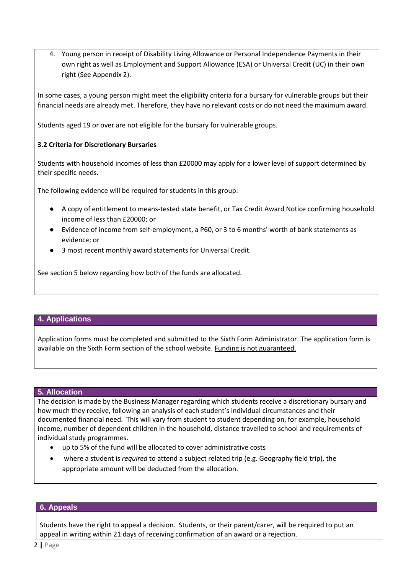4. Young person in receipt of Disability Living Allowance or Personal Independence Payments in their own right as well as Employment and Support Allowance (ESA) or Universal Credit (UC) in their own right (See Appendix 2).

In some cases, a young person might meet the eligibility criteria for a bursary for vulnerable groups but their financial needs are already met. Therefore, they have no relevant costs or do not need the maximum award.

Students aged 19 or over are not eligible for the bursary for vulnerable groups.

## **3.2 Criteria for Discretionary Bursaries**

Students with household incomes of less than £20000 may apply for a lower level of support determined by their specific needs.

The following evidence will be required for students in this group:

- A copy of entitlement to means-tested state benefit, or Tax Credit Award Notice confirming household income of less than £20000; or
- Evidence of income from self-employment, a P60, or 3 to 6 months' worth of bank statements as evidence; or
- 3 most recent monthly award statements for Universal Credit.

See section 5 below regarding how both of the funds are allocated.

## **4. Applications**

Application forms must be completed and submitted to the Sixth Form Administrator. The application form is available on the Sixth Form section of the school website. Funding is not guaranteed.

#### **5. Allocation**

The decision is made by the Business Manager regarding which students receive a discretionary bursary and how much they receive, following an analysis of each student's individual circumstances and their documented financial need. This will vary from student to student depending on, for example, household income, number of dependent children in the household, distance travelled to school and requirements of individual study programmes.

- up to 5% of the fund will be allocated to cover administrative costs
- where a student is *required* to attend a subject related trip (e.g. Geography field trip), the appropriate amount will be deducted from the allocation.

## **6. Appeals**

Students have the right to appeal a decision. Students, or their parent/carer, will be required to put an appeal in writing within 21 days of receiving confirmation of an award or a rejection.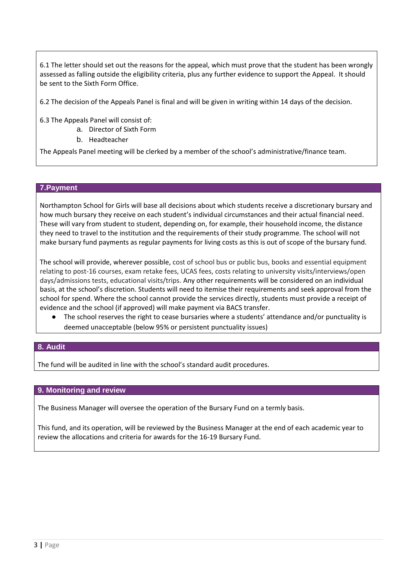6.1 The letter should set out the reasons for the appeal, which must prove that the student has been wrongly assessed as falling outside the eligibility criteria, plus any further evidence to support the Appeal. It should be sent to the Sixth Form Office.

6.2 The decision of the Appeals Panel is final and will be given in writing within 14 days of the decision.

6.3 The Appeals Panel will consist of:

- a. Director of Sixth Form
- b. Headteacher

The Appeals Panel meeting will be clerked by a member of the school's administrative/finance team.

### **7.Payment**

Northampton School for Girls will base all decisions about which students receive a discretionary bursary and how much bursary they receive on each student's individual circumstances and their actual financial need. These will vary from student to student, depending on, for example, their household income, the distance they need to travel to the institution and the requirements of their study programme. The school will not make bursary fund payments as regular payments for living costs as this is out of scope of the bursary fund.

The school will provide, wherever possible, cost of school bus or public bus, books and essential equipment relating to post-16 courses, exam retake fees, UCAS fees, costs relating to university visits/interviews/open days/admissions tests, educational visits/trips. Any other requirements will be considered on an individual basis, at the school's discretion. Students will need to itemise their requirements and seek approval from the school for spend. Where the school cannot provide the services directly, students must provide a receipt of evidence and the school (if approved) will make payment via BACS transfer.

The school reserves the right to cease bursaries where a students' attendance and/or punctuality is deemed unacceptable (below 95% or persistent punctuality issues)

### **8. Audit**

The fund will be audited in line with the school's standard audit procedures.

#### **9. Monitoring and review**

The Business Manager will oversee the operation of the Bursary Fund on a termly basis.

This fund, and its operation, will be reviewed by the Business Manager at the end of each academic year to review the allocations and criteria for awards for the 16-19 Bursary Fund.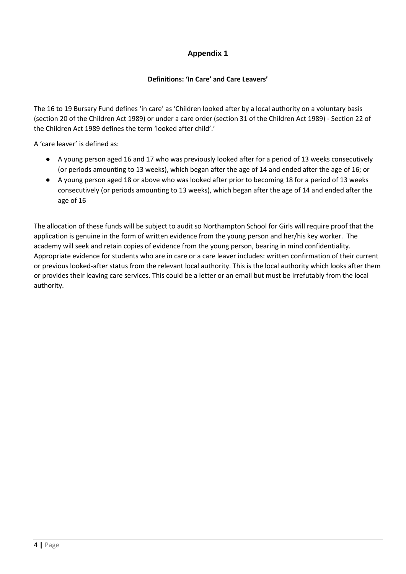## **Appendix 1**

## **Definitions: 'In Care' and Care Leavers'**

The 16 to 19 Bursary Fund defines 'in care' as 'Children looked after by a local authority on a voluntary basis (section 20 of the Children Act 1989) or under a care order (section 31 of the Children Act 1989) - Section 22 of the Children Act 1989 defines the term 'looked after child'.'

A 'care leaver' is defined as:

- A young person aged 16 and 17 who was previously looked after for a period of 13 weeks consecutively (or periods amounting to 13 weeks), which began after the age of 14 and ended after the age of 16; or
- A young person aged 18 or above who was looked after prior to becoming 18 for a period of 13 weeks consecutively (or periods amounting to 13 weeks), which began after the age of 14 and ended after the age of 16

The allocation of these funds will be subject to audit so Northampton School for Girls will require proof that the application is genuine in the form of written evidence from the young person and her/his key worker. The academy will seek and retain copies of evidence from the young person, bearing in mind confidentiality. Appropriate evidence for students who are in care or a care leaver includes: written confirmation of their current or previous looked-after status from the relevant local authority. This is the local authority which looks after them or provides their leaving care services. This could be a letter or an email but must be irrefutably from the local authority.